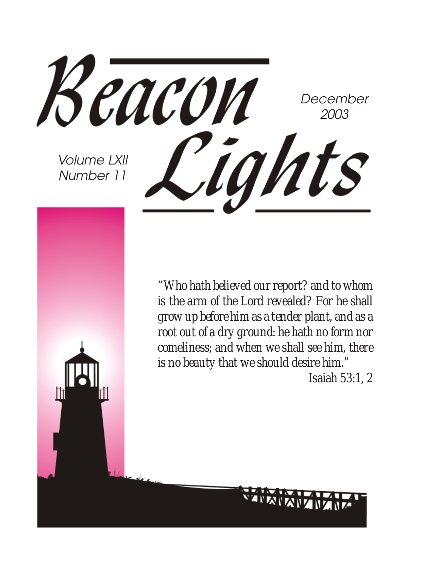

*"Who hath believed our report? and to whom is the arm of the Lord revealed? For he shall grow up before him as a tender plant, and as a root out of a dry ground: he hath no form nor comeliness; and when we shall see him, there is no beauty that we should desire him." Isaiah 53:1, 2*

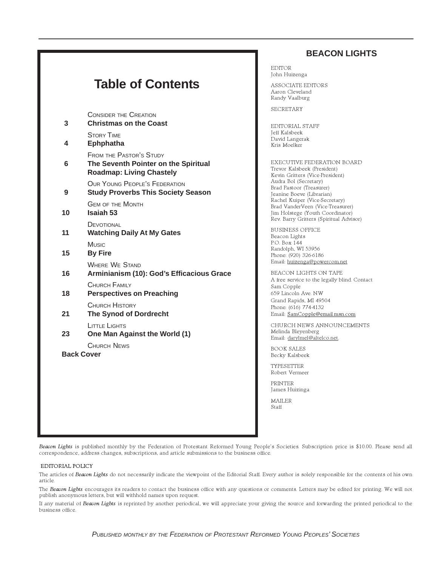#### **BEACON LIGHTS**

### **Table of Contents**

CONSIDER THE CREATION **3 Christmas on the Coast** STORY TIME **4 Ephphatha** FROM THE PASTOR'S STUDY **6 The Seventh Pointer on the Spiritual Roadmap: Living Chastely** OUR YOUNG PEOPLE'S FEDERATION **9 Study Proverbs This Society Season** GEM OF THE MONTH **10 Isaiah 53 DEVOTIONAL 11 Watching Daily At My Gates Music 15 By Fire** WHERE WE STAND **16 Arminianism (10): God's Efficacious Grace** CHURCH FAMILY **18 Perspectives on Preaching** CHURCH HISTORY **21 The Synod of Dordrecht** LITTLE LIGHTS **23 One Man Against the World (1)** CHURCH NEWS **Back Cover**

EDITOR John Huizenga

ASSOCIATE EDITORS Aaron Cleveland Randy Vaalburg

SECRETARY

EDITORIAL STAFF Jeff Kalsbeek David Langerak Kris Moelker

EXECUTIVE FEDERATION BOARD Trevor Kalsbeek (President) Kevin Gritters (Vice-President) Audra Bol (Secretary) Brad Pastoor (Treasurer) Jeanine Boeve (Librarian) Rachel Kuiper (Vice-Secretary) Brad VanderVeen (Vice-Treasurer) Jim Holstege (Youth Coordinator) Rev. Barry Gritters (Spiritual Advisor)

BUSINESS OFFICE Beacon Lights P.O. Box 144 Randolph, WI 53956 Phone: (920) 326-6186 Email: huizenga@powercom.net

BEACON LIGHTS ON TAPE A free service to the legally blind. Contact Sam Copple 659 Lincoln Ave. NW Grand Rapids, MI 49504 Phone: (616) 774-4132 Email: SamCopple@email.msn.com

CHURCH NEWS ANNOUNCEMENTS Melinda Bleyenberg Email: darylmel@altelco.net.

BOOK SALES Becky Kalsbeek

TYPESETTER Robert Vermeer

PRINTER James Huizinga

MAILER Staff

Beacon Lights is published monthly by the Federation of Protestant Reformed Young People's Societies. Subscription price is \$10.00. Please send all correspondence, address changes, subscriptions, and article submissions to the business office.

#### EDITORIAL POLICY

The articles of Beacon Lights do not necessarily indicate the viewpoint of the Editorial Staff. Every author is solely responsible for the contents of his own article.

The Beacon Lights encourages its readers to contact the business office with any questions or comments. Letters may be edited for printing. We will not publish anonymous letters, but will withhold names upon request.

If any material of Beacon Lights is reprinted by another periodical, we will appreciate your giving the source and forwarding the printed periodical to the business office.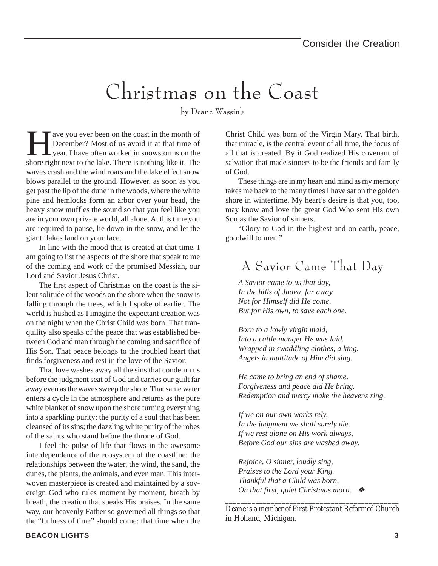## Christmas on the Coast

by Deane Wassink

Example 1 are you ever been on the coast in the month of<br>December? Most of us avoid it at that time of<br>year. I have often worked in snowstorms on the<br>shore right next to the lake. There is nothing like it. The December? Most of us avoid it at that time of year. I have often worked in snowstorms on the shore right next to the lake. There is nothing like it. The waves crash and the wind roars and the lake effect snow blows parallel to the ground. However, as soon as you get past the lip of the dune in the woods, where the white pine and hemlocks form an arbor over your head, the heavy snow muffles the sound so that you feel like you are in your own private world, all alone. At this time you are required to pause, lie down in the snow, and let the giant flakes land on your face.

In line with the mood that is created at that time, I am going to list the aspects of the shore that speak to me of the coming and work of the promised Messiah, our Lord and Savior Jesus Christ.

The first aspect of Christmas on the coast is the silent solitude of the woods on the shore when the snow is falling through the trees, which I spoke of earlier. The world is hushed as I imagine the expectant creation was on the night when the Christ Child was born. That tranquility also speaks of the peace that was established between God and man through the coming and sacrifice of His Son. That peace belongs to the troubled heart that finds forgiveness and rest in the love of the Savior.

That love washes away all the sins that condemn us before the judgment seat of God and carries our guilt far away even as the waves sweep the shore. That same water enters a cycle in the atmosphere and returns as the pure white blanket of snow upon the shore turning everything into a sparkling purity; the purity of a soul that has been cleansed of its sins; the dazzling white purity of the robes of the saints who stand before the throne of God.

I feel the pulse of life that flows in the awesome interdependence of the ecosystem of the coastline: the relationships between the water, the wind, the sand, the dunes, the plants, the animals, and even man. This interwoven masterpiece is created and maintained by a sovereign God who rules moment by moment, breath by breath, the creation that speaks His praises. In the same way, our heavenly Father so governed all things so that the "fullness of time" should come: that time when the

Christ Child was born of the Virgin Mary. That birth, that miracle, is the central event of all time, the focus of all that is created. By it God realized His covenant of salvation that made sinners to be the friends and family of God.

These things are in my heart and mind as my memory takes me back to the many times I have sat on the golden shore in wintertime. My heart's desire is that you, too, may know and love the great God Who sent His own Son as the Savior of sinners.

"Glory to God in the highest and on earth, peace, goodwill to men."

### A Savior Came That Day

*A Savior came to us that day, In the hills of Judea, far away. Not for Himself did He come, But for His own, to save each one.*

*Born to a lowly virgin maid, Into a cattle manger He was laid. Wrapped in swaddling clothes, a king. Angels in multitude of Him did sing.*

*He came to bring an end of shame. Forgiveness and peace did He bring. Redemption and mercy make the heavens ring.*

*If we on our own works rely, In the judgment we shall surely die. If we rest alone on His work always, Before God our sins are washed away.*

*Rejoice, O sinner, loudly sing, Praises to the Lord your King. Thankful that a Child was born, On that first, quiet Christmas morn.* ❖

*\_\_\_\_\_\_\_\_\_\_\_\_\_\_\_\_\_\_\_\_\_\_\_\_\_\_\_\_\_\_\_\_\_\_\_\_\_\_\_\_\_\_\_\_\_\_ Deane is a member of First Protestant Reformed Church in Holland, Michigan.*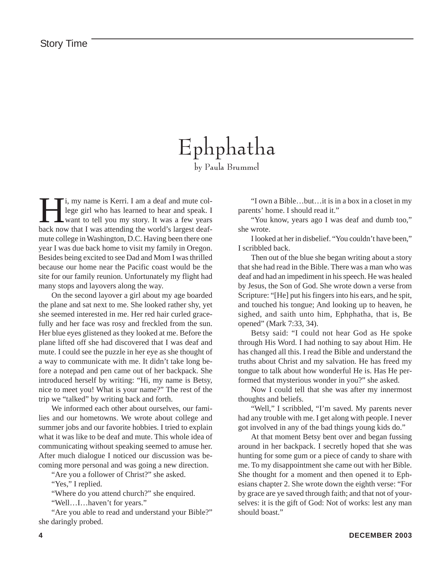### Ephphatha by Paula Brummel

I, my name is Kerri. I am a deaf and mute college girl who has learned to hear and speak. I was the world's largest deaflege girl who has learned to hear and speak. I want to tell you my story. It was a few years back now that I was attending the world's largest deafmute college in Washington, D.C. Having been there one year I was due back home to visit my family in Oregon. Besides being excited to see Dad and Mom I was thrilled because our home near the Pacific coast would be the site for our family reunion. Unfortunately my flight had many stops and layovers along the way.

On the second layover a girl about my age boarded the plane and sat next to me. She looked rather shy, yet she seemed interested in me. Her red hair curled gracefully and her face was rosy and freckled from the sun. Her blue eyes glistened as they looked at me. Before the plane lifted off she had discovered that I was deaf and mute. I could see the puzzle in her eye as she thought of a way to communicate with me. It didn't take long before a notepad and pen came out of her backpack. She introduced herself by writing: "Hi, my name is Betsy, nice to meet you! What is your name?" The rest of the trip we "talked" by writing back and forth.

We informed each other about ourselves, our families and our hometowns. We wrote about college and summer jobs and our favorite hobbies. I tried to explain what it was like to be deaf and mute. This whole idea of communicating without speaking seemed to amuse her. After much dialogue I noticed our discussion was becoming more personal and was going a new direction.

"Are you a follower of Christ?" she asked.

"Yes," I replied.

"Where do you attend church?" she enquired.

"Well…I…haven't for years."

"Are you able to read and understand your Bible?" she daringly probed.

"I own a Bible…but…it is in a box in a closet in my parents' home. I should read it."

"You know, years ago I was deaf and dumb too," she wrote.

I looked at her in disbelief. "You couldn't have been," I scribbled back.

Then out of the blue she began writing about a story that she had read in the Bible. There was a man who was deaf and had an impediment in his speech. He was healed by Jesus, the Son of God. She wrote down a verse from Scripture: "[He] put his fingers into his ears, and he spit, and touched his tongue; And looking up to heaven, he sighed, and saith unto him, Ephphatha, that is, Be opened" (Mark 7:33, 34).

Betsy said: "I could not hear God as He spoke through His Word. I had nothing to say about Him. He has changed all this. I read the Bible and understand the truths about Christ and my salvation. He has freed my tongue to talk about how wonderful He is. Has He performed that mysterious wonder in you?" she asked.

Now I could tell that she was after my innermost thoughts and beliefs.

"Well," I scribbled, "I'm saved. My parents never had any trouble with me. I get along with people. I never got involved in any of the bad things young kids do."

At that moment Betsy bent over and began fussing around in her backpack. I secretly hoped that she was hunting for some gum or a piece of candy to share with me. To my disappointment she came out with her Bible. She thought for a moment and then opened it to Ephesians chapter 2. She wrote down the eighth verse: "For by grace are ye saved through faith; and that not of yourselves: it is the gift of God: Not of works: lest any man should boast."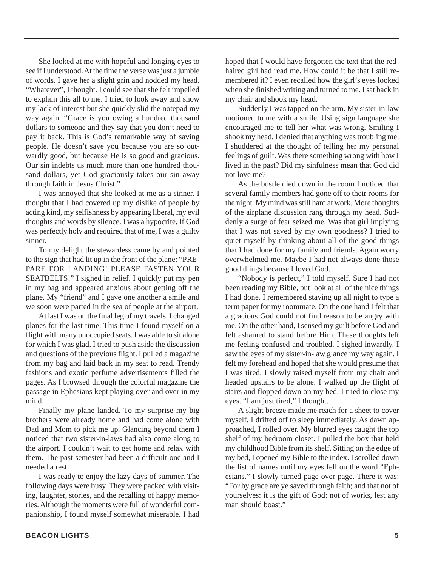She looked at me with hopeful and longing eyes to see if I understood. At the time the verse was just a jumble of words. I gave her a slight grin and nodded my head. "Whatever", I thought. I could see that she felt impelled to explain this all to me. I tried to look away and show my lack of interest but she quickly slid the notepad my way again. "Grace is you owing a hundred thousand dollars to someone and they say that you don't need to pay it back. This is God's remarkable way of saving people. He doesn't save you because you are so outwardly good, but because He is so good and gracious. Our sin indebts us much more than one hundred thousand dollars, yet God graciously takes our sin away through faith in Jesus Christ."

I was annoyed that she looked at me as a sinner. I thought that I had covered up my dislike of people by acting kind, my selfishness by appearing liberal, my evil thoughts and words by silence. I was a hypocrite. If God was perfectly holy and required that of me, I was a guilty sinner.

To my delight the stewardess came by and pointed to the sign that had lit up in the front of the plane: "PRE-PARE FOR LANDING! PLEASE FASTEN YOUR SEATBELTS!" I sighed in relief. I quickly put my pen in my bag and appeared anxious about getting off the plane. My "friend" and I gave one another a smile and we soon were parted in the sea of people at the airport.

At last I was on the final leg of my travels. I changed planes for the last time. This time I found myself on a flight with many unoccupied seats. I was able to sit alone for which I was glad. I tried to push aside the discussion and questions of the previous flight. I pulled a magazine from my bag and laid back in my seat to read. Trendy fashions and exotic perfume advertisements filled the pages. As I browsed through the colorful magazine the passage in Ephesians kept playing over and over in my mind.

Finally my plane landed. To my surprise my big brothers were already home and had come alone with Dad and Mom to pick me up. Glancing beyond them I noticed that two sister-in-laws had also come along to the airport. I couldn't wait to get home and relax with them. The past semester had been a difficult one and I needed a rest.

I was ready to enjoy the lazy days of summer. The following days were busy. They were packed with visiting, laughter, stories, and the recalling of happy memories. Although the moments were full of wonderful companionship, I found myself somewhat miserable. I had hoped that I would have forgotten the text that the redhaired girl had read me. How could it be that I still remembered it? I even recalled how the girl's eyes looked when she finished writing and turned to me. I sat back in my chair and shook my head.

Suddenly I was tapped on the arm. My sister-in-law motioned to me with a smile. Using sign language she encouraged me to tell her what was wrong. Smiling I shook my head. I denied that anything was troubling me. I shuddered at the thought of telling her my personal feelings of guilt. Was there something wrong with how I lived in the past? Did my sinfulness mean that God did not love me?

As the bustle died down in the room I noticed that several family members had gone off to their rooms for the night. My mind was still hard at work. More thoughts of the airplane discussion rang through my head. Suddenly a surge of fear seized me. Was that girl implying that I was not saved by my own goodness? I tried to quiet myself by thinking about all of the good things that I had done for my family and friends. Again worry overwhelmed me. Maybe I had not always done those good things because I loved God.

"Nobody is perfect," I told myself. Sure I had not been reading my Bible, but look at all of the nice things I had done. I remembered staying up all night to type a term paper for my roommate. On the one hand I felt that a gracious God could not find reason to be angry with me. On the other hand, I sensed my guilt before God and felt ashamed to stand before Him. These thoughts left me feeling confused and troubled. I sighed inwardly. I saw the eyes of my sister-in-law glance my way again. I felt my forehead and hoped that she would presume that I was tired. I slowly raised myself from my chair and headed upstairs to be alone. I walked up the flight of stairs and flopped down on my bed. I tried to close my eyes. "I am just tired," I thought.

A slight breeze made me reach for a sheet to cover myself. I drifted off to sleep immediately. As dawn approached, I rolled over. My blurred eyes caught the top shelf of my bedroom closet. I pulled the box that held my childhood Bible from its shelf. Sitting on the edge of my bed, I opened my Bible to the index. I scrolled down the list of names until my eyes fell on the word "Ephesians." I slowly turned page over page. There it was: "For by grace are ye saved through faith; and that not of yourselves: it is the gift of God: not of works, lest any man should boast."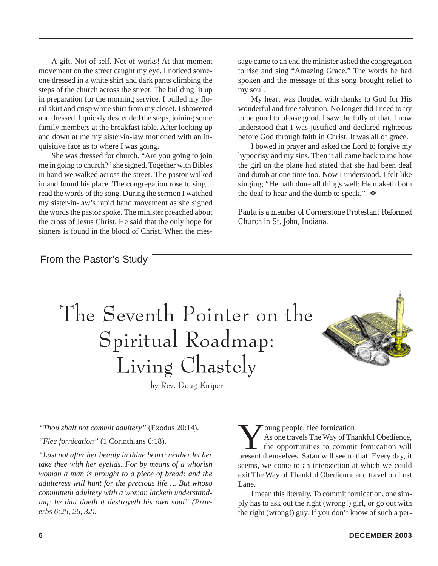A gift. Not of self. Not of works! At that moment movement on the street caught my eye. I noticed someone dressed in a white shirt and dark pants climbing the steps of the church across the street. The building lit up in preparation for the morning service. I pulled my floral skirt and crisp white shirt from my closet. I showered and dressed. I quickly descended the steps, joining some family members at the breakfast table. After looking up and down at me my sister-in-law motioned with an inquisitive face as to where I was going.

She was dressed for church. "Are you going to join me in going to church?" she signed. Together with Bibles in hand we walked across the street. The pastor walked in and found his place. The congregation rose to sing. I read the words of the song. During the sermon I watched my sister-in-law's rapid hand movement as she signed the words the pastor spoke. The minister preached about the cross of Jesus Christ. He said that the only hope for sinners is found in the blood of Christ. When the message came to an end the minister asked the congregation to rise and sing "Amazing Grace." The words he had spoken and the message of this song brought relief to my soul.

My heart was flooded with thanks to God for His wonderful and free salvation. No longer did I need to try to be good to please good. I saw the folly of that. I now understood that I was justified and declared righteous before God through faith in Christ. It was all of grace.

I bowed in prayer and asked the Lord to forgive my hypocrisy and my sins. Then it all came back to me how the girl on the plane had stated that she had been deaf and dumb at one time too. Now I understood. I felt like singing; "He hath done all things well: He maketh both the deaf to hear and the dumb to speak."  $\triangleleft$ 

*\_\_\_\_\_\_\_\_\_\_\_\_\_\_\_\_\_\_\_\_\_\_\_\_\_\_\_\_\_\_\_\_\_\_\_\_\_\_\_\_\_\_\_\_\_\_\_\_\_\_ Paula is a member of Cornerstone Protestant Reformed Church in St. John, Indiana.*

From the Pastor's Study

## The Seventh Pointer on the Spiritual Roadmap: Living Chastely



by Rev. Doug Kuiper

*"Thou shalt not commit adultery"* (Exodus 20:14).

*"Flee fornication"* (1 Corinthians 6:18).

*"Lust not after her beauty in thine heart; neither let her take thee with her eyelids. For by means of a whorish woman a man is brought to a piece of bread: and the adulteress will hunt for the precious life…. But whoso committeth adultery with a woman lacketh understanding: he that doeth it destroyeth his own soul" (Proverbs 6:25, 26, 32).*

Young people, flee fornication!<br>As one travels The Way of That<br>the opportunities to commit<br>present themselves. Satan will see to to As one travels The Way of Thankful Obedience, the opportunities to commit fornication will present themselves. Satan will see to that. Every day, it seems, we come to an intersection at which we could exit The Way of Thankful Obedience and travel on Lust Lane.

I mean this literally. To commit fornication, one simply has to ask out the right (wrong!) girl, or go out with the right (wrong!) guy. If you don't know of such a per-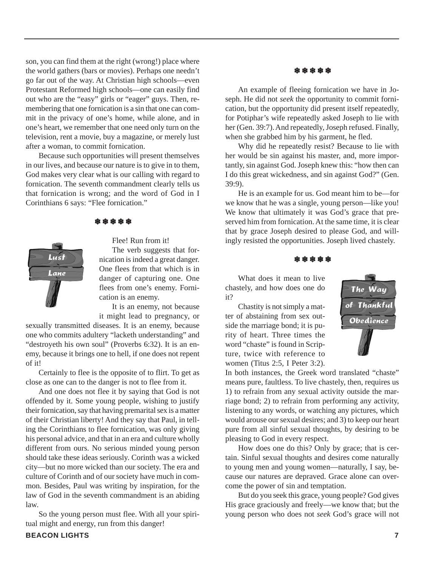son, you can find them at the right (wrong!) place where the world gathers (bars or movies). Perhaps one needn't go far out of the way. At Christian high schools—even Protestant Reformed high schools—one can easily find out who are the "easy" girls or "eager" guys. Then, remembering that one fornication is a sin that one can commit in the privacy of one's home, while alone, and in one's heart, we remember that one need only turn on the television, rent a movie, buy a magazine, or merely lust after a woman, to commit fornication.

Because such opportunities will present themselves in our lives, and because our nature is to give in to them, God makes very clear what is our calling with regard to fornication. The seventh commandment clearly tells us that fornication is wrong; and the word of God in I Corinthians 6 says: "Flee fornication."

❄ ❄ ❄ ❄ ❄



Flee! Run from it! The verb suggests that for-

nication is indeed a great danger. One flees from that which is in danger of capturing one. One flees from one's enemy. Fornication is an enemy.

It is an enemy, not because it might lead to pregnancy, or

sexually transmitted diseases. It is an enemy, because one who commits adultery "lacketh understanding" and "destroyeth his own soul" (Proverbs 6:32). It is an enemy, because it brings one to hell, if one does not repent of it!

Certainly to flee is the opposite of to flirt. To get as close as one can to the danger is not to flee from it.

And one does not flee it by saying that God is not offended by it. Some young people, wishing to justify their fornication, say that having premarital sex is a matter of their Christian liberty! And they say that Paul, in telling the Corinthians to flee fornication, was only giving his personal advice, and that in an era and culture wholly different from ours. No serious minded young person should take these ideas seriously. Corinth was a wicked city—but no more wicked than our society. The era and culture of Corinth and of our society have much in common. Besides, Paul was writing by inspiration, for the law of God in the seventh commandment is an abiding law.

So the young person must flee. With all your spiritual might and energy, run from this danger!

#### ❄ ❄ ❄ ❄ ❄

An example of fleeing fornication we have in Joseph. He did not *seek* the opportunity to commit fornication, but the opportunity did present itself repeatedly, for Potiphar's wife repeatedly asked Joseph to lie with her (Gen. 39:7). And repeatedly, Joseph refused. Finally, when she grabbed him by his garment, he fled.

Why did he repeatedly resist? Because to lie with her would be sin against his master, and, more importantly, sin against God. Joseph knew this: "how then can I do this great wickedness, and sin against God?" (Gen. 39:9).

He is an example for us. God meant him to be—for we know that he was a single, young person—like you! We know that ultimately it was God's grace that preserved him from fornication. At the same time, it is clear that by grace Joseph desired to please God, and willingly resisted the opportunities. Joseph lived chastely.

#### ❄ ❄ ❄ ❄ ❄

The Way

Obedience

Thankfu

What does it mean to live chastely, and how does one do it?

Chastity is not simply a matter of abstaining from sex outside the marriage bond; it is purity of heart. Three times the word "chaste" is found in Scripture, twice with reference to women (Titus 2:5, I Peter 3:2).

In both instances, the Greek word translated "chaste" means pure, faultless. To live chastely, then, requires us 1) to refrain from any sexual activity outside the marriage bond; 2) to refrain from performing any activity, listening to any words, or watching any pictures, which would arouse our sexual desires; and 3) to keep our heart pure from all sinful sexual thoughts, by desiring to be pleasing to God in every respect.

How does one do this? Only by grace; that is certain. Sinful sexual thoughts and desires come naturally to young men and young women—naturally, I say, because our natures are depraved. Grace alone can overcome the power of sin and temptation.

But do you seek this grace, young people? God gives His grace graciously and freely—we know that; but the young person who does not *seek* God's grace will not

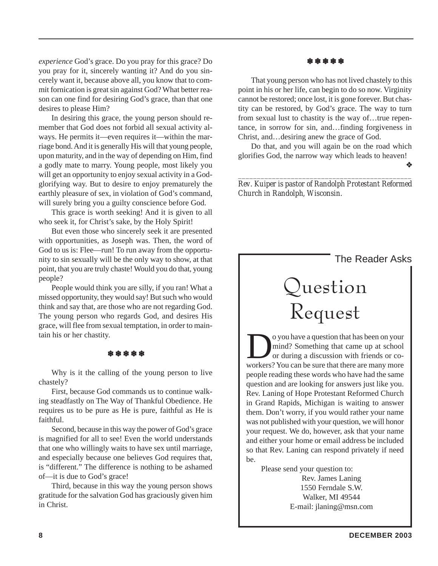*experience* God's grace. Do you pray for this grace? Do you pray for it, sincerely wanting it? And do you sincerely want it, because above all, you know that to commit fornication is great sin against God? What better reason can one find for desiring God's grace, than that one desires to please Him?

In desiring this grace, the young person should remember that God does not forbid all sexual activity always. He permits it—even requires it—within the marriage bond. And it is generally His will that young people, upon maturity, and in the way of depending on Him, find a godly mate to marry. Young people, most likely you will get an opportunity to enjoy sexual activity in a Godglorifying way. But to desire to enjoy prematurely the earthly pleasure of sex, in violation of God's command, will surely bring you a guilty conscience before God.

This grace is worth seeking! And it is given to all who seek it, for Christ's sake, by the Holy Spirit!

But even those who sincerely seek it are presented with opportunities, as Joseph was. Then, the word of God to us is: Flee—run! To run away from the opportunity to sin sexually will be the only way to show, at that point, that you are truly chaste! Would you do that, young people?

People would think you are silly, if you ran! What a missed opportunity, they would say! But such who would think and say that, are those who are not regarding God. The young person who regards God, and desires His grace, will flee from sexual temptation, in order to maintain his or her chastity.

#### ❄ ❄ ❄ ❄ ❄

Why is it the calling of the young person to live chastely?

First, because God commands us to continue walking steadfastly on The Way of Thankful Obedience. He requires us to be pure as He is pure, faithful as He is faithful.

Second, because in this way the power of God's grace is magnified for all to see! Even the world understands that one who willingly waits to have sex until marriage, and especially because one believes God requires that, is "different." The difference is nothing to be ashamed of—it is due to God's grace!

Third, because in this way the young person shows gratitude for the salvation God has graciously given him in Christ.

#### ❄ ❄ ❄ ❄ ❄

That young person who has not lived chastely to this point in his or her life, can begin to do so now. Virginity cannot be restored; once lost, it is gone forever. But chastity can be restored, by God's grace. The way to turn from sexual lust to chastity is the way of…true repentance, in sorrow for sin, and…finding forgiveness in Christ, and…desiring anew the grace of God.

Do that, and you will again be on the road which glorifies God, the narrow way which leads to heaven!

*\_\_\_\_\_\_\_\_\_\_\_\_\_\_\_\_\_\_\_\_\_\_\_\_\_\_\_\_\_\_\_\_\_\_\_\_\_\_\_\_\_\_\_\_\_\_ Rev. Kuiper is pastor of Randolph Protestant Reformed Church in Randolph, Wisconsin.*

#### The Reader Asks

❖

## Question Request

O you have a question that has been on your<br>mind? Something that came up at school<br>or during a discussion with friends or co-<br>workers? You can be sure that there are many more mind? Something that came up at school or during a discussion with friends or coworkers? You can be sure that there are many more people reading these words who have had the same question and are looking for answers just like you. Rev. Laning of Hope Protestant Reformed Church in Grand Rapids, Michigan is waiting to answer them. Don't worry, if you would rather your name was not published with your question, we will honor your request. We do, however, ask that your name and either your home or email address be included so that Rev. Laning can respond privately if need be.

> Please send your question to: Rev. James Laning 1550 Ferndale S.W. Walker, MI 49544 E-mail: jlaning@msn.com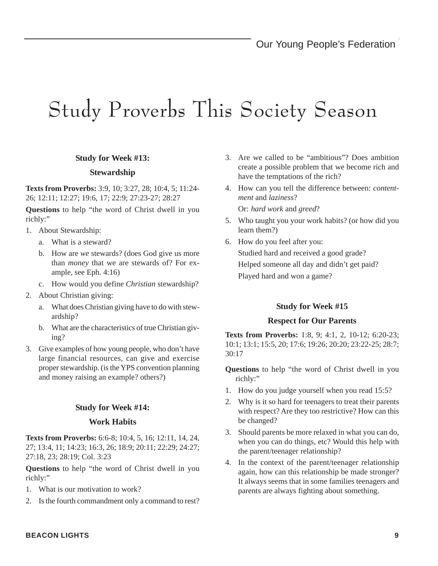## Study Proverbs This Society Season

#### **Study for Week #13:**

#### **Stewardship**

**Texts from Proverbs:** 3:9, 10; 3:27, 28; 10:4, 5; 11:24- 26; 12:11; 12:27; 19:6, 17; 22:9; 27:23-27; 28:27

**Questions** to help "the word of Christ dwell in you richly:"

- 1. About Stewardship:
	- a. What is a steward?
	- b. How are *we* stewards? (does God give us more than *money* that we are stewards of? For example, see Eph. 4:16)
	- c. How would you define *Christian* stewardship?
- 2. About Christian giving:
	- a. What does Christian giving have to do with stewardship?
	- b. What are the characteristics of true Christian giving?
- 3. Give examples of how young people, who don't have large financial resources, can give and exercise proper stewardship. (is the YPS convention planning and money raising an example? others?)

#### **Study for Week #14:**

#### **Work Habits**

**Texts from Proverbs:** 6:6-8; 10:4, 5, 16; 12:11, 14, 24, 27; 13:4, 11; 14:23; 16:3, 26; 18:9; 20:11; 22:29; 24:27; 27:18, 23; 28:19; Col. 3:23

**Questions** to help "the word of Christ dwell in you richly:"

- 1. What is our motivation to work?
- 2. Is the fourth commandment only a command to rest?
- 3. Are we called to be "ambitious"? Does ambition create a possible problem that we become rich and have the temptations of the rich?
- 4. How can you tell the difference between: *contentment* and *laziness*?

Or: *hard work* and *greed*?

- 5. Who taught you your work habits? (or how did you learn them?)
- 6. How do you feel after you: Studied hard and received a good grade? Helped someone all day and didn't get paid? Played hard and won a game?

#### **Study for Week #15**

#### **Respect for Our Parents**

**Texts from Proverbs:** 1:8, 9; 4:1, 2, 10-12; 6:20-23; 10:1; 13:1; 15:5, 20; 17:6; 19:26; 20:20; 23:22-25; 28:7; 30:17

- **Questions** to help "the word of Christ dwell in you richly:"
- 1. How do you judge yourself when you read 15:5?
- 2. Why is it so hard for teenagers to treat their parents with respect? Are they too restrictive? How can this be changed?
- 3. Should parents be more relaxed in what you can do, when you can do things, etc? Would this help with the parent/teenager relationship?
- 4. In the context of the parent/teenager relationship again, how can this relationship be made stronger? It always seems that in some families teenagers and parents are always fighting about something.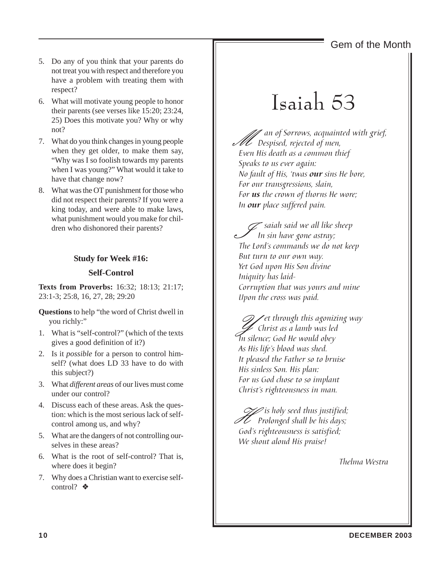### Gem of the Month

- 5. Do any of you think that your parents do not treat you with respect and therefore you have a problem with treating them with respect?
- 6. What will motivate young people to honor their parents (see verses like 15:20; 23:24, 25) Does this motivate you? Why or why not?
- 7. What do you think changes in young people when they get older, to make them say, "Why was I so foolish towards my parents when I was young?" What would it take to have that change now?
- 8. What was the OT punishment for those who did not respect their parents? If you were a king today, and were able to make laws, what punishment would you make for children who dishonored their parents?

#### **Study for Week #16:**

#### **Self-Control**

**Texts from Proverbs:** 16:32; 18:13; 21:17; 23:1-3; 25:8, 16, 27, 28; 29:20

**Questions** to help "the word of Christ dwell in you richly:"

- 1. What is "self-control?" (which of the texts gives a good definition of it?)
- 2. Is it *possible* for a person to control himself? (what does LD 33 have to do with this subject?)
- 3. What *different areas* of our lives must come under our control?
- 4. Discuss each of these areas. Ask the question: which is the most serious lack of selfcontrol among us, and why?
- 5. What are the dangers of not controlling ourselves in these areas?
- 6. What is the root of self-control? That is, where does it begin?
- 7. Why does a Christian want to exercise selfcontrol? ❖

## Isaiah 53

M an of Sorrows, acquainted with grief, Despised, rejected of men, Even His death as a common thief Speaks to us ever again: No fault of His, 'twas our sins He bore, For our transgressions, slain, For **us** the crown of thorns He wore; In our place suffered pain.

 $\mathscr{D}$  saiah said we all like sheep In sin have gone astray; The Lord's commands we do not keep But turn to our own way. Yet God upon His Son divine Iniquity has laid-Corruption that was yours and mine Upon the cross was paid.

 $\mathscr{D}$  et through this agonizing way Christ as a lamb was led In silence; God He would obey As His life's blood was shed. It pleased the Father so to bruise His sinless Son. His plan: For us God chose to so implant Christ's righteousness in man.

 $\mathcal{U}$  is holy seed thus justified;<br>Prolonged shall be his days;<br>Codic righteousness is estisfied: God's righteousness is satisfied; We shout aloud His praise!

Thelma Westra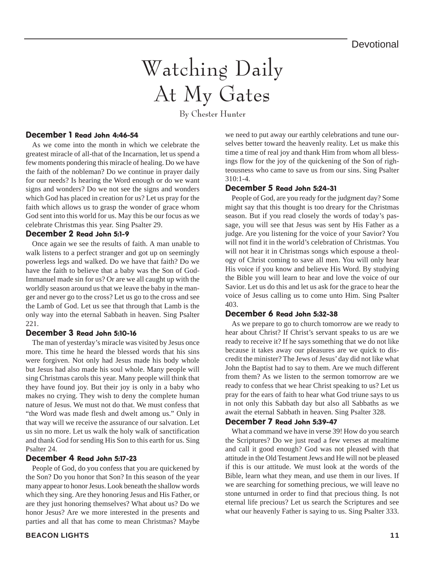## Watching Daily At My Gates

By Chester Hunter

#### December 1 Read John 4:46-54

As we come into the month in which we celebrate the greatest miracle of all-that of the Incarnation, let us spend a few moments pondering this miracle of healing. Do we have the faith of the nobleman? Do we continue in prayer daily for our needs? Is hearing the Word enough or do we want signs and wonders? Do we not see the signs and wonders which God has placed in creation for us? Let us pray for the faith which allows us to grasp the wonder of grace whom God sent into this world for us. May this be our focus as we celebrate Christmas this year. Sing Psalter 29.

#### December 2 Read John 5:1-9

Once again we see the results of faith. A man unable to walk listens to a perfect stranger and got up on seemingly powerless legs and walked. Do we have that faith? Do we have the faith to believe that a baby was the Son of God-Immanuel made sin for us? Or are we all caught up with the worldly season around us that we leave the baby in the manger and never go to the cross? Let us go to the cross and see the Lamb of God. Let us see that through that Lamb is the only way into the eternal Sabbath in heaven. Sing Psalter 221.

#### December 3 Read John 5:10-16

The man of yesterday's miracle was visited by Jesus once more. This time he heard the blessed words that his sins were forgiven. Not only had Jesus made his body whole but Jesus had also made his soul whole. Many people will sing Christmas carols this year. Many people will think that they have found joy. But their joy is only in a baby who makes no crying. They wish to deny the complete human nature of Jesus. We must not do that. We must confess that "the Word was made flesh and dwelt among us." Only in that way will we receive the assurance of our salvation. Let us sin no more. Let us walk the holy walk of sanctification and thank God for sending His Son to this earth for us. Sing Psalter 24.

#### December 4 Read John 5:17-23

People of God, do you confess that you are quickened by the Son? Do you honor that Son? In this season of the year many appear to honor Jesus. Look beneath the shallow words which they sing. Are they honoring Jesus and His Father, or are they just honoring themselves? What about us? Do we honor Jesus? Are we more interested in the presents and parties and all that has come to mean Christmas? Maybe

we need to put away our earthly celebrations and tune ourselves better toward the heavenly reality. Let us make this time a time of real joy and thank Him from whom all blessings flow for the joy of the quickening of the Son of righteousness who came to save us from our sins. Sing Psalter  $310 \cdot 1 - 4$ 

#### December 5 Read John 5:24-31

People of God, are you ready for the judgment day? Some might say that this thought is too dreary for the Christmas season. But if you read closely the words of today's passage, you will see that Jesus was sent by His Father as a judge. Are you listening for the voice of your Savior? You will not find it in the world's celebration of Christmas. You will not hear it in Christmas songs which espouse a theology of Christ coming to save all men. You will only hear His voice if you know and believe His Word. By studying the Bible you will learn to hear and love the voice of our Savior. Let us do this and let us ask for the grace to hear the voice of Jesus calling us to come unto Him. Sing Psalter 403.

#### December 6 Read John 5:32-38

As we prepare to go to church tomorrow are we ready to hear about Christ? If Christ's servant speaks to us are we ready to receive it? If he says something that we do not like because it takes away our pleasures are we quick to discredit the minister? The Jews of Jesus' day did not like what John the Baptist had to say to them. Are we much different from them? As we listen to the sermon tomorrow are we ready to confess that we hear Christ speaking to us? Let us pray for the ears of faith to hear what God triune says to us in not only this Sabbath day but also all Sabbaths as we await the eternal Sabbath in heaven. Sing Psalter 328.

#### December 7 Read John 5:39-47

What a command we have in verse 39! How do you search the Scriptures? Do we just read a few verses at mealtime and call it good enough? God was not pleased with that attitude in the Old Testament Jews and He will not be pleased if this is our attitude. We must look at the words of the Bible, learn what they mean, and use them in our lives. If we are searching for something precious, we will leave no stone unturned in order to find that precious thing. Is not eternal life precious? Let us search the Scriptures and see what our heavenly Father is saying to us. Sing Psalter 333.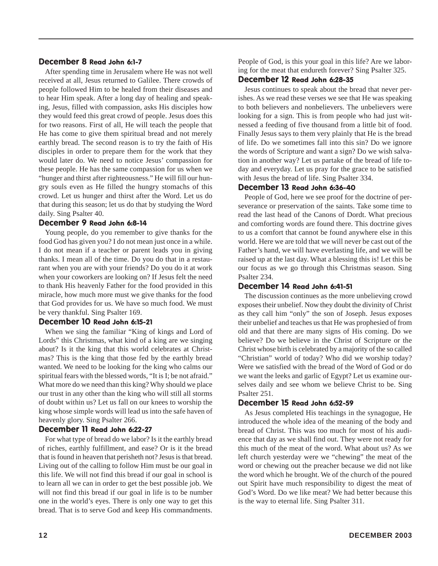#### December 8 Read John 6:1-7

After spending time in Jerusalem where He was not well received at all, Jesus returned to Galilee. There crowds of people followed Him to be healed from their diseases and to hear Him speak. After a long day of healing and speaking, Jesus, filled with compassion, asks His disciples how they would feed this great crowd of people. Jesus does this for two reasons. First of all, He will teach the people that He has come to give them spiritual bread and not merely earthly bread. The second reason is to try the faith of His disciples in order to prepare them for the work that they would later do. We need to notice Jesus' compassion for these people. He has the same compassion for us when we "hunger and thirst after righteousness." He will fill our hungry souls even as He filled the hungry stomachs of this crowd. Let us hunger and thirst after the Word. Let us do that during this season; let us do that by studying the Word daily. Sing Psalter 40.

#### December 9 Read John 6:8-14

Young people, do you remember to give thanks for the food God has given you? I do not mean just once in a while. I do not mean if a teacher or parent leads you in giving thanks. I mean all of the time. Do you do that in a restaurant when you are with your friends? Do you do it at work when your coworkers are looking on? If Jesus felt the need to thank His heavenly Father for the food provided in this miracle, how much more must we give thanks for the food that God provides for us. We have so much food. We must be very thankful. Sing Psalter 169.

#### December 10 Read John 6:15-21

When we sing the familiar "King of kings and Lord of Lords" this Christmas, what kind of a king are we singing about? Is it the king that this world celebrates at Christmas? This is the king that those fed by the earthly bread wanted. We need to be looking for the king who calms our spiritual fears with the blessed words, "It is I; be not afraid." What more do we need than this king? Why should we place our trust in any other than the king who will still all storms of doubt within us? Let us fall on our knees to worship the king whose simple words will lead us into the safe haven of heavenly glory. Sing Psalter 266.

#### December 11 Read John 6:22-27

For what type of bread do we labor? Is it the earthly bread of riches, earthly fulfillment, and ease? Or is it the bread that is found in heaven that perisheth not? Jesus is that bread. Living out of the calling to follow Him must be our goal in this life. We will not find this bread if our goal in school is to learn all we can in order to get the best possible job. We will not find this bread if our goal in life is to be number one in the world's eyes. There is only one way to get this bread. That is to serve God and keep His commandments.

People of God, is this your goal in this life? Are we laboring for the meat that endureth forever? Sing Psalter 325.

#### December 12 Read John 6:28-35

Jesus continues to speak about the bread that never perishes. As we read these verses we see that He was speaking to both believers and nonbelievers. The unbelievers were looking for a sign. This is from people who had just witnessed a feeding of five thousand from a little bit of food. Finally Jesus says to them very plainly that He is the bread of life. Do we sometimes fall into this sin? Do we ignore the words of Scripture and want a sign? Do we wish salvation in another way? Let us partake of the bread of life today and everyday. Let us pray for the grace to be satisfied with Jesus the bread of life. Sing Psalter 334.

#### December 13 Read John 6:36-40

People of God, here we see proof for the doctrine of perseverance or preservation of the saints. Take some time to read the last head of the Canons of Dordt. What precious and comforting words are found there. This doctrine gives to us a comfort that cannot be found anywhere else in this world. Here we are told that we will never be cast out of the Father's hand, we will have everlasting life, and we will be raised up at the last day. What a blessing this is! Let this be our focus as we go through this Christmas season. Sing Psalter 234.

#### December 14 Read John 6:41-51

The discussion continues as the more unbelieving crowd exposes their unbelief. Now they doubt the divinity of Christ as they call him "only" the son of Joseph. Jesus exposes their unbelief and teaches us that He was prophesied of from old and that there are many signs of His coming. Do we believe? Do we believe in the Christ of Scripture or the Christ whose birth is celebrated by a majority of the so called "Christian" world of today? Who did we worship today? Were we satisfied with the bread of the Word of God or do we want the leeks and garlic of Egypt? Let us examine ourselves daily and see whom we believe Christ to be. Sing Psalter 251.

#### December 15 Read John 6:52-59

As Jesus completed His teachings in the synagogue, He introduced the whole idea of the meaning of the body and bread of Christ. This was too much for most of his audience that day as we shall find out. They were not ready for this much of the meat of the word. What about us? As we left church yesterday were we "chewing" the meat of the word or chewing out the preacher because we did not like the word which he brought. We of the church of the poured out Spirit have much responsibility to digest the meat of God's Word. Do we like meat? We had better because this is the way to eternal life. Sing Psalter 311.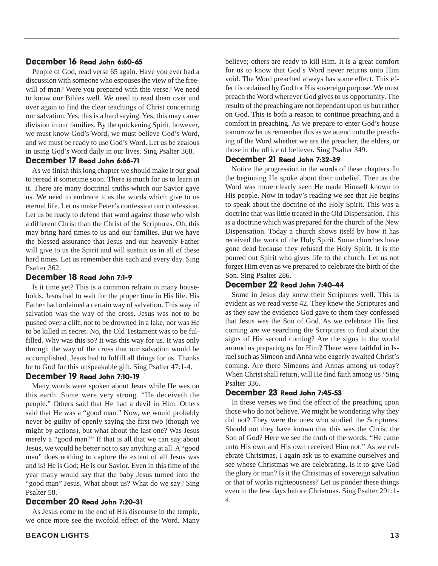#### December 16 Read John 6:60-65

People of God, read verse 65 again. Have you ever had a discussion with someone who espouses the view of the freewill of man? Were you prepared with this verse? We need to know our Bibles well. We need to read them over and over again to find the clear teachings of Christ concerning our salvation. Yes, this is a hard saying. Yes, this may cause division in our families. By the quickening Spirit, however, we must know God's Word, we must believe God's Word, and we must be ready to use God's Word. Let us be zealous in using God's Word daily in our lives. Sing Psalter 368.

#### December 17 Read John 6:66-71

As we finish this long chapter we should make it our goal to reread it sometime soon. There is much for us to learn in it. There are many doctrinal truths which our Savior gave us. We need to embrace it as the words which give to us eternal life. Let us make Peter's confession our confession. Let us be ready to defend that word against those who wish a different Christ than the Christ of the Scriptures. Oh, this may bring hard times to us and our families. But we have the blessed assurance that Jesus and our heavenly Father will give to us the Spirit and will sustain us in all of these hard times. Let us remember this each and every day. Sing Psalter 362.

#### December 18 Read John 7:1-9

Is it time yet? This is a common refrain in many households. Jesus had to wait for the proper time in His life. His Father had ordained a certain way of salvation. This way of salvation was the way of the cross. Jesus was not to be pushed over a cliff, not to be drowned in a lake, nor was He to be killed in secret. No, the Old Testament was to be fulfilled. Why was this so? It was this way for us. It was only through the way of the cross that our salvation would be accomplished. Jesus had to fulfill all things for us. Thanks be to God for this unspeakable gift. Sing Psalter 47:1-4.

#### December 19 Read John 7:10-19

Many words were spoken about Jesus while He was on this earth. Some were very strong. "He deceiveth the people." Others said that He had a devil in Him. Others said that He was a "good man." Now, we would probably never be guilty of openly saying the first two (though we might by actions), but what about the last one? Was Jesus merely a "good man?" If that is all that we can say about Jesus, we would be better not to say anything at all. A "good man" does nothing to capture the extent of all Jesus was and is! He is God; He is our Savior. Even in this time of the year many would say that the baby Jesus turned into the "good man" Jesus. What about us? What do we say? Sing Psalter 58.

#### December 20 Read John 7:20-31

As Jesus come to the end of His discourse in the temple, we once more see the twofold effect of the Word. Many believe; others are ready to kill Him. It is a great comfort for us to know that God's Word never returns unto Him void. The Word preached always has some effect. This effect is ordained by God for His sovereign purpose. We must preach the Word wherever God gives to us opportunity. The results of the preaching are not dependant upon us but rather on God. This is both a reason to continue preaching and a comfort in preaching. As we prepare to enter God's house tomorrow let us remember this as we attend unto the preaching of the Word whether we are the preacher, the elders, or those in the office of believer. Sing Psalter 349.

#### December 21 Read John 7:32-39

Notice the progression in the words of these chapters. In the beginning He spoke about their unbelief. Then as the Word was more clearly seen He made Himself known to His people. Now in today's reading we see that He begins to speak about the doctrine of the Holy Spirit. This was a doctrine that was little treated in the Old Dispensation. This is a doctrine which was prepared for the church of the New Dispensation. Today a church shows itself by how it has received the work of the Holy Spirit. Some churches have gone dead because they refused the Holy Spirit. It is the poured out Spirit who gives life to the church. Let us not forget Him even as we prepared to celebrate the birth of the Son. Sing Psalter 286.

#### December 22 Read John 7:40-44

Some in Jesus day knew their Scriptures well. This is evident as we read verse 42. They knew the Scriptures and as they saw the evidence God gave to them they confessed that Jesus was the Son of God. As we celebrate His first coming are we searching the Scriptures to find about the signs of His second coming? Are the signs in the world around us preparing us for Him? There were faithful in Israel such as Simeon and Anna who eagerly awaited Christ's coming. Are there Simeons and Annas among us today? When Christ shall return, will He find faith among us? Sing Psalter 336.

#### December 23 Read John 7:45-53

In these verses we find the effect of the preaching upon those who do not believe. We might be wondering why they did not? They were the ones who studied the Scriptures. Should not they have known that this was the Christ the Son of God? Here we see the truth of the words, "He came unto His own and His own received Him not." As we celebrate Christmas, I again ask us to examine ourselves and see whose Christmas we are celebrating. Is it to give God the glory or man? Is it the Christmas of sovereign salvation or that of works righteousness? Let us ponder these things even in the few days before Christmas. Sing Psalter 291:1- 4.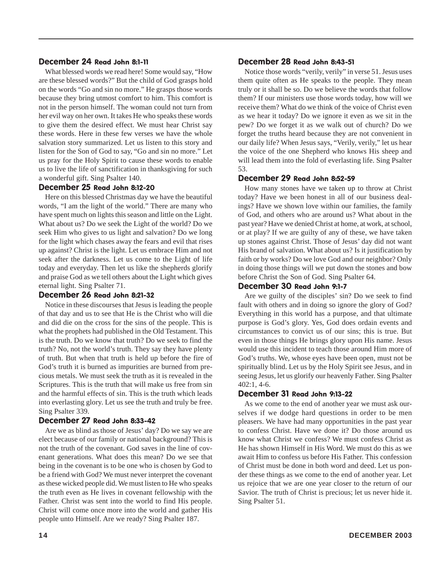#### December 24 Read John 8:1-11

What blessed words we read here! Some would say, "How are these blessed words?" But the child of God grasps hold on the words "Go and sin no more." He grasps those words because they bring utmost comfort to him. This comfort is not in the person himself. The woman could not turn from her evil way on her own. It takes He who speaks these words to give them the desired effect. We must hear Christ say these words. Here in these few verses we have the whole salvation story summarized. Let us listen to this story and listen for the Son of God to say, "Go and sin no more." Let us pray for the Holy Spirit to cause these words to enable us to live the life of sanctification in thanksgiving for such a wonderful gift. Sing Psalter 140.

#### December 25 Read John 8:12-20

Here on this blessed Christmas day we have the beautiful words, "I am the light of the world." There are many who have spent much on lights this season and little on the Light. What about us? Do we seek the Light of the world? Do we seek Him who gives to us light and salvation? Do we long for the light which chases away the fears and evil that rises up against? Christ is the light. Let us embrace Him and not seek after the darkness. Let us come to the Light of life today and everyday. Then let us like the shepherds glorify and praise God as we tell others about the Light which gives eternal light. Sing Psalter 71.

#### December 26 Read John 8:21-32

Notice in these discourses that Jesus is leading the people of that day and us to see that He is the Christ who will die and did die on the cross for the sins of the people. This is what the prophets had published in the Old Testament. This is the truth. Do we know that truth? Do we seek to find the truth? No, not the world's truth. They say they have plenty of truth. But when that truth is held up before the fire of God's truth it is burned as impurities are burned from precious metals. We must seek the truth as it is revealed in the Scriptures. This is the truth that will make us free from sin and the harmful effects of sin. This is the truth which leads into everlasting glory. Let us see the truth and truly be free. Sing Psalter 339.

#### December 27 Read John 8:33-42

Are we as blind as those of Jesus' day? Do we say we are elect because of our family or national background? This is not the truth of the covenant. God saves in the line of covenant generations. What does this mean? Do we see that being in the covenant is to be one who is chosen by God to be a friend with God? We must never interpret the covenant as these wicked people did. We must listen to He who speaks the truth even as He lives in covenant fellowship with the Father. Christ was sent into the world to find His people. Christ will come once more into the world and gather His people unto Himself. Are we ready? Sing Psalter 187.

#### December 28 Read John 8:43-51

Notice those words "verily, verily" in verse 51. Jesus uses them quite often as He speaks to the people. They mean truly or it shall be so. Do we believe the words that follow them? If our ministers use those words today, how will we receive them? What do we think of the voice of Christ even as we hear it today? Do we ignore it even as we sit in the pew? Do we forget it as we walk out of church? Do we forget the truths heard because they are not convenient in our daily life? When Jesus says, "Verily, verily," let us hear the voice of the one Shepherd who knows His sheep and will lead them into the fold of everlasting life. Sing Psalter 53.

#### December 29 Read John 8:52-59

How many stones have we taken up to throw at Christ today? Have we been honest in all of our business dealings? Have we shown love within our families, the family of God, and others who are around us? What about in the past year? Have we denied Christ at home, at work, at school, or at play? If we are guilty of any of these, we have taken up stones against Christ. Those of Jesus' day did not want His brand of salvation. What about us? Is it justification by faith or by works? Do we love God and our neighbor? Only in doing those things will we put down the stones and bow before Christ the Son of God. Sing Psalter 64.

#### December 30 Read John 9:1-7

Are we guilty of the disciples' sin? Do we seek to find fault with others and in doing so ignore the glory of God? Everything in this world has a purpose, and that ultimate purpose is God's glory. Yes, God does ordain events and circumstances to convict us of our sins; this is true. But even in those things He brings glory upon His name. Jesus would use this incident to teach those around Him more of God's truths. We, whose eyes have been open, must not be spiritually blind. Let us by the Holy Spirit see Jesus, and in seeing Jesus, let us glorify our heavenly Father. Sing Psalter 402:1, 4-6.

#### December 31 Read John 9:13-22

As we come to the end of another year we must ask ourselves if we dodge hard questions in order to be men pleasers. We have had many opportunities in the past year to confess Christ. Have we done it? Do those around us know what Christ we confess? We must confess Christ as He has shown Himself in His Word. We must do this as we await Him to confess us before His Father. This confession of Christ must be done in both word and deed. Let us ponder these things as we come to the end of another year. Let us rejoice that we are one year closer to the return of our Savior. The truth of Christ is precious; let us never hide it. Sing Psalter 51.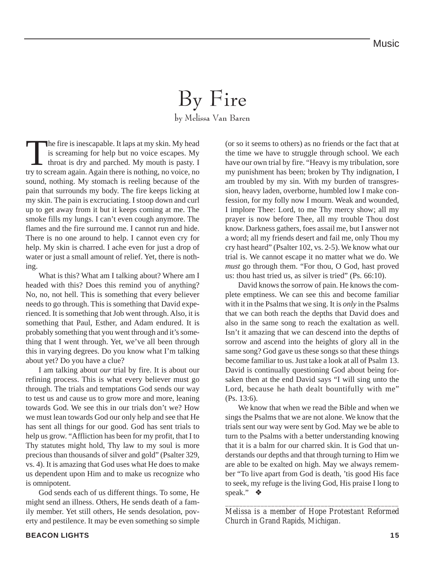### By Fire by Melissa Van Baren

The fire is inescapable. It laps at my skin. My head<br>is screaming for help but no voice escapes. My<br>throat is dry and parched. My mouth is pasty. If<br>try to scream again. Again there is nothing no voice no is screaming for help but no voice escapes. My throat is dry and parched. My mouth is pasty. I try to scream again. Again there is nothing, no voice, no sound, nothing. My stomach is reeling because of the pain that surrounds my body. The fire keeps licking at my skin. The pain is excruciating. I stoop down and curl up to get away from it but it keeps coming at me. The smoke fills my lungs. I can't even cough anymore. The flames and the fire surround me. I cannot run and hide. There is no one around to help. I cannot even cry for help. My skin is charred. I ache even for just a drop of water or just a small amount of relief. Yet, there is nothing.

What is this? What am I talking about? Where am I headed with this? Does this remind you of anything? No, no, not hell. This is something that every believer needs to go through. This is something that David experienced. It is something that Job went through. Also, it is something that Paul, Esther, and Adam endured. It is probably something that you went through and it's something that I went through. Yet, we've all been through this in varying degrees. Do you know what I'm talking about yet? Do you have a clue?

I am talking about *our* trial by fire. It is about our refining process. This is what every believer must go through. The trials and temptations God sends our way to test us and cause us to grow more and more, leaning towards God. We see this in our trials don't we? How we must lean towards God our only help and see that He has sent all things for our good. God has sent trials to help us grow. "Affliction has been for my profit, that I to Thy statutes might hold, Thy law to my soul is more precious than thousands of silver and gold" (Psalter 329, vs. 4). It is amazing that God uses what He does to make us dependent upon Him and to make us recognize who is omnipotent.

God sends each of us different things. To some, He might send an illness. Others, He sends death of a family member. Yet still others, He sends desolation, poverty and pestilence. It may be even something so simple (or so it seems to others) as no friends or the fact that at the time we have to struggle through school. We each have our own trial by fire. "Heavy is my tribulation, sore my punishment has been; broken by Thy indignation, I am troubled by my sin. With my burden of transgression, heavy laden, overborne, humbled low I make confession, for my folly now I mourn. Weak and wounded, I implore Thee: Lord, to me Thy mercy show; all my prayer is now before Thee, all my trouble Thou dost know. Darkness gathers, foes assail me, but I answer not a word; all my friends desert and fail me, only Thou my cry hast heard" (Psalter 102, vs. 2-5). We know what our trial is. We cannot escape it no matter what we do. We *must* go through them. "For thou, O God, hast proved us: thou hast tried us, as silver is tried" (Ps. 66:10).

David knows the sorrow of pain. He knows the complete emptiness. We can see this and become familiar with it in the Psalms that we sing. It is *only* in the Psalms that we can both reach the depths that David does and also in the same song to reach the exaltation as well. Isn't it amazing that we can descend into the depths of sorrow and ascend into the heights of glory all in the same song? God gave us these songs so that these things become familiar to us. Just take a look at all of Psalm 13. David is continually questioning God about being forsaken then at the end David says "I will sing unto the Lord, because he hath dealt bountifully with me" (Ps. 13:6).

We know that when we read the Bible and when we sings the Psalms that we are not alone. We know that the trials sent our way were sent by God. May we be able to turn to the Psalms with a better understanding knowing that it is a balm for our charred skin. It is God that understands our depths and that through turning to Him we are able to be exalted on high. May we always remember "To live apart from God is death, 'tis good His face to seek, my refuge is the living God, His praise I long to speak." ❖

*\_\_\_\_\_\_\_\_\_\_\_\_\_\_\_\_\_\_\_\_\_\_\_\_\_\_\_\_\_\_\_\_\_\_\_\_\_\_\_\_\_\_\_\_\_\_\_\_\_ Melissa is a member of Hope Protestant Reformed Church in Grand Rapids, Michigan.*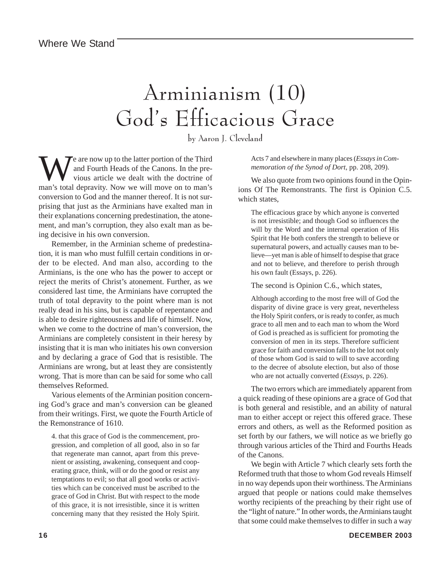## Arminianism (10) God's Efficacious Grace

by Aaron J. Cleveland

We are now up to the latter portion of the Third<br>and Fourth Heads of the Canons. In the pre-<br>vious article we dealt with the doctrine of<br>man's total depravity. Now we will move on to man's and Fourth Heads of the Canons. In the previous article we dealt with the doctrine of man's total depravity. Now we will move on to man's conversion to God and the manner thereof. It is not surprising that just as the Arminians have exalted man in their explanations concerning predestination, the atonement, and man's corruption, they also exalt man as being decisive in his own conversion.

Remember, in the Arminian scheme of predestination, it is man who must fulfill certain conditions in order to be elected. And man also, according to the Arminians, is the one who has the power to accept or reject the merits of Christ's atonement. Further, as we considered last time, the Arminians have corrupted the truth of total depravity to the point where man is not really dead in his sins, but is capable of repentance and is able to desire righteousness and life of himself. Now, when we come to the doctrine of man's conversion, the Arminians are completely consistent in their heresy by insisting that it is man who initiates his own conversion and by declaring a grace of God that is resistible. The Arminians are wrong, but at least they are consistently wrong. That is more than can be said for some who call themselves Reformed.

Various elements of the Arminian position concerning God's grace and man's conversion can be gleaned from their writings. First, we quote the Fourth Article of the Remonstrance of 1610.

4. that this grace of God is the commencement, progression, and completion of all good, also in so far that regenerate man cannot, apart from this prevenient or assisting, awakening, consequent and cooperating grace, think, will or do the good or resist any temptations to evil; so that all good works or activities which can be conceived must be ascribed to the grace of God in Christ. But with respect to the mode of this grace, it is not irresistible, since it is written concerning many that they resisted the Holy Spirit. Acts 7 and elsewhere in many places (*Essays in Commemoration of the Synod of Dort*, pp. 208, 209).

We also quote from two opinions found in the Opinions Of The Remonstrants. The first is Opinion C.5. which states,

The efficacious grace by which anyone is converted is not irresistible; and though God so influences the will by the Word and the internal operation of His Spirit that He both confers the strength to believe or supernatural powers, and actually causes man to believe—yet man is able of himself to despise that grace and not to believe, and therefore to perish through his own fault (Essays, p. 226).

The second is Opinion C.6., which states,

Although according to the most free will of God the disparity of divine grace is very great, nevertheless the Holy Spirit confers, or is ready to confer, as much grace to all men and to each man to whom the Word of God is preached as is sufficient for promoting the conversion of men in its steps. Therefore sufficient grace for faith and conversion falls to the lot not only of those whom God is said to will to save according to the decree of absolute election, but also of those who are not actually converted (*Essays*, p. 226).

The two errors which are immediately apparent from a quick reading of these opinions are a grace of God that is both general and resistible, and an ability of natural man to either accept or reject this offered grace. These errors and others, as well as the Reformed position as set forth by our fathers, we will notice as we briefly go through various articles of the Third and Fourths Heads of the Canons.

We begin with Article 7 which clearly sets forth the Reformed truth that those to whom God reveals Himself in no way depends upon their worthiness. The Arminians argued that people or nations could make themselves worthy recipients of the preaching by their right use of the "light of nature." In other words, the Arminians taught that some could make themselves to differ in such a way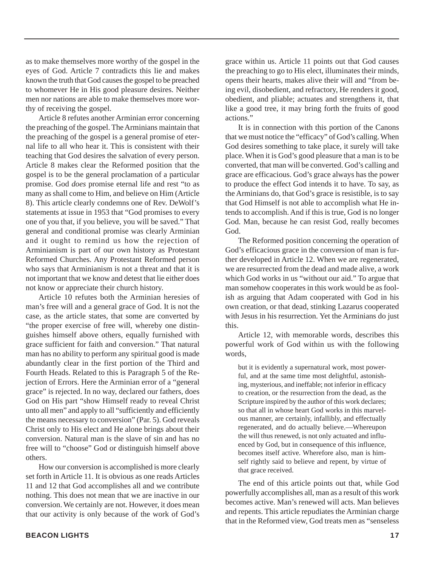as to make themselves more worthy of the gospel in the eyes of God. Article 7 contradicts this lie and makes known the truth that God causes the gospel to be preached to whomever He in His good pleasure desires. Neither men nor nations are able to make themselves more worthy of receiving the gospel.

Article 8 refutes another Arminian error concerning the preaching of the gospel. The Arminians maintain that the preaching of the gospel is a general promise of eternal life to all who hear it. This is consistent with their teaching that God desires the salvation of every person. Article 8 makes clear the Reformed position that the gospel is to be the general proclamation of a particular promise. God *does* promise eternal life and rest "to as many as shall come to Him, and believe on Him (Article 8). This article clearly condemns one of Rev. DeWolf's statements at issue in 1953 that "God promises to every one of you that, if you believe, you will be saved." That general and conditional promise was clearly Arminian and it ought to remind us how the rejection of Arminianism is part of our own history as Protestant Reformed Churches. Any Protestant Reformed person who says that Arminianism is not a threat and that it is not important that we know and detest that lie either does not know or appreciate their church history.

Article 10 refutes both the Arminian heresies of man's free will and a general grace of God. It is not the case, as the article states, that some are converted by "the proper exercise of free will, whereby one distinguishes himself above others, equally furnished with grace sufficient for faith and conversion." That natural man has no ability to perform any spiritual good is made abundantly clear in the first portion of the Third and Fourth Heads. Related to this is Paragraph 5 of the Rejection of Errors. Here the Arminian error of a "general grace" is rejected. In no way, declared our fathers, does God on His part "show Himself ready to reveal Christ unto all men" and apply to all "sufficiently and efficiently the means necessary to conversion" (Par. 5). God reveals Christ only to His elect and He alone brings about their conversion. Natural man is the slave of sin and has no free will to "choose" God or distinguish himself above others.

How our conversion is accomplished is more clearly set forth in Article 11. It is obvious as one reads Articles 11 and 12 that God accomplishes all and we contribute nothing. This does not mean that we are inactive in our conversion. We certainly are not. However, it does mean that our activity is only because of the work of God's

grace within us. Article 11 points out that God causes the preaching to go to His elect, illuminates their minds, opens their hearts, makes alive their will and "from being evil, disobedient, and refractory, He renders it good, obedient, and pliable; actuates and strengthens it, that like a good tree, it may bring forth the fruits of good actions"

It is in connection with this portion of the Canons that we must notice the "efficacy" of God's calling. When God desires something to take place, it surely will take place. When it is God's good pleasure that a man is to be converted, that man will be converted. God's calling and grace are efficacious. God's grace always has the power to produce the effect God intends it to have. To say, as the Arminians do, that God's grace is resistible, is to say that God Himself is not able to accomplish what He intends to accomplish. And if this is true, God is no longer God. Man, because he can resist God, really becomes God.

The Reformed position concerning the operation of God's efficacious grace in the conversion of man is further developed in Article 12. When we are regenerated, we are resurrected from the dead and made alive, a work which God works in us "without our aid." To argue that man somehow cooperates in this work would be as foolish as arguing that Adam cooperated with God in his own creation, or that dead, stinking Lazarus cooperated with Jesus in his resurrection. Yet the Arminians do just this.

Article 12, with memorable words, describes this powerful work of God within us with the following words,

but it is evidently a supernatural work, most powerful, and at the same time most delightful, astonishing, mysterious, and ineffable; not inferior in efficacy to creation, or the resurrection from the dead, as the Scripture inspired by the author of this work declares; so that all in whose heart God works in this marvelous manner, are certainly, infallibly, and effectually regenerated, and do actually believe.—Whereupon the will thus renewed, is not only actuated and influenced by God, but in consequence of this influence, becomes itself active. Wherefore also, man is himself rightly said to believe and repent, by virtue of that grace received.

The end of this article points out that, while God powerfully accomplishes all, man as a result of this work becomes active. Man's renewed will acts. Man believes and repents. This article repudiates the Arminian charge that in the Reformed view, God treats men as "senseless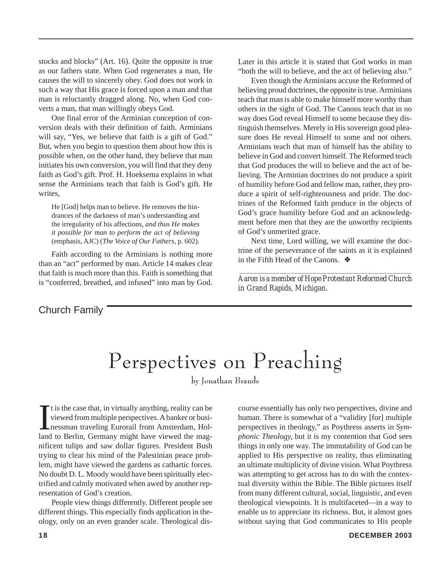stocks and blocks" (Art. 16). Quite the opposite is true as our fathers state. When God regenerates a man, He causes the will to sincerely obey. God does not work in such a way that His grace is forced upon a man and that man is reluctantly dragged along. No, when God converts a man, that man willingly obeys God.

One final error of the Arminian conception of conversion deals with their definition of faith. Arminians will say, "Yes, we believe that faith is a gift of God." But, when you begin to question them about how this is possible when, on the other hand, they believe that man initiates his own conversion, you will find that they deny faith as God's gift. Prof. H. Hoeksema explains in what sense the Arminians teach that faith is God's gift. He writes,

He [God] helps man to believe. He removes the hindrances of the darkness of man's understanding and the irregularity of his affections, *and thus He makes it possible for man to perform the act of believing* (emphasis, AJC) (*The Voice of Our Fathers*, p. 602).

Faith according to the Arminians is nothing more than an "act" performed by man. Article 14 makes clear that faith is much more than this. Faith is something that is "conferred, breathed, and infused" into man by God. Later in this article it is stated that God works in man "both the will to believe, and the act of believing also."

Even though the Arminians accuse the Reformed of believing proud doctrines, the opposite is true. Arminians teach that man is able to make himself more worthy than others in the sight of God. The Canons teach that in no way does God reveal Himself to some because they distinguish themselves. Merely in His sovereign good pleasure does He reveal Himself to some and not others. Arminians teach that man of himself has the ability to believe in God and convert himself. The Reformed teach that God produces the will to believe and the act of believing. The Arminian doctrines do not produce a spirit of humility before God and fellow man, rather, they produce a spirit of self-righteousness and pride. The doctrines of the Reformed faith produce in the objects of God's grace humility before God and an acknowledgment before men that they are the unworthy recipients of God's unmerited grace.

Next time, Lord willing, we will examine the doctrine of the perseverance of the saints as it is explained in the Fifth Head of the Canons.  $\triangle$ 

 *\_\_\_\_\_\_\_\_\_\_\_\_\_\_\_\_\_\_\_\_\_\_\_\_\_\_\_\_\_\_\_\_\_\_\_\_\_\_\_\_\_\_\_\_\_\_\_ Aaron is a member of Hope Protestant Reformed Church in Grand Rapids, Michigan.*

Church Family

## Perspectives on Preaching

by Jonathan Brands

It is the case that, in virtually anything, reality can be viewed from multiple perspectives. A banker or busi-<br>nessman traveling Eurorail from Amsterdam, Holland to Berlin, Germany might have viewed the magt is the case that, in virtually anything, reality can be viewed from multiple perspectives. A banker or businessman traveling Eurorail from Amsterdam, Holnificent tulips and saw dollar figures. President Bush trying to clear his mind of the Palestinian peace problem, might have viewed the gardens as cathartic forces. No doubt D. L. Moody would have been spiritually electrified and calmly motivated when awed by another representation of God's creation.

People view things differently. Different people see different things. This especially finds application in theology, only on an even grander scale. Theological discourse essentially has only two perspectives, divine and human. There is somewhat of a "validity [for] multiple perspectives in theology," as Poythress asserts in *Symphonic Theology,* but it is my contention that God sees things in only one way. The immutability of God can be applied to His perspective on reality, thus eliminating an ultimate multiplicity of divine vision. What Poythress was attempting to get across has to do with the contextual diversity within the Bible. The Bible pictures itself from many different cultural, social, linguistic, and even theological viewpoints. It is multifaceted—in a way to enable us to appreciate its richness. But, it almost goes without saying that God communicates to His people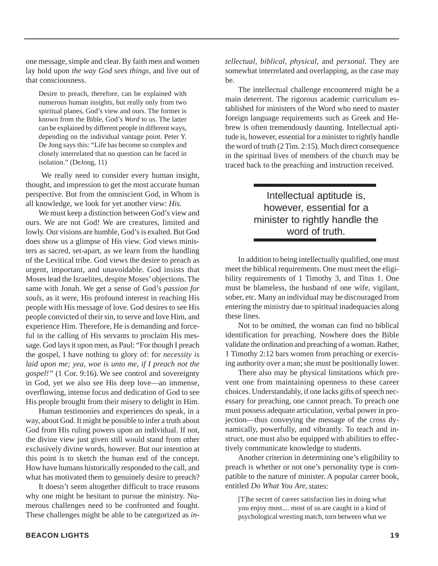one message, simple and clear. By faith men and women lay hold upon *the way God sees things,* and live out of that consciousness.

Desire to preach, therefore, can be explained with numerous human insights, but really only from two spiritual planes, God's view and ours. The former is known from the Bible, God's *Word* to us. The latter can be explained by different people in different ways, depending on the individual vantage point. Peter Y. De Jong says this: "Life has become so complex and closely interrelated that no question can be faced in isolation." (DeJong, 11)

 We really need to consider every human insight, thought, and impression to get the most accurate human perspective. But from the omniscient God, in Whom is all knowledge, we look for yet another view: *His.*

We must keep a distinction between God's view and ours. We are not God! We are creatures, limited and lowly. Our visions are humble, God's is exalted. But God does show us a glimpse of His view. God views ministers as sacred, set-apart, as we learn from the handling of the Levitical tribe. God views the desire to preach as urgent, important, and unavoidable. God insists that Moses lead the Israelites, despite Moses' objections. The same with Jonah. We get a sense of God's *passion for souls,* as it were, His profound interest in reaching His people with His message of love. God desires to see His people convicted of their sin, to serve and love Him, and experience Him. Therefore, He is demanding and forceful in the calling of His servants to proclaim His message. God lays it upon men, as Paul: "For though I preach the gospel, I have nothing to glory of: for *necessity is laid upon me; yea, woe is unto me, if I preach not the gospel!"* (1 Cor. 9:16). We see control and sovereignty in God, yet we also see His deep love—an immense, overflowing, intense focus and dedication of God to see His people brought from their misery to delight in Him.

Human testimonies and experiences do speak, in a way, about God. It might be possible to infer a truth about God from His ruling powers upon an individual. If not, the divine view just given still would stand from other exclusively divine words, however. But our intention at this point is to sketch the human end of the concept. How have humans historically responded to the call, and what has motivated them to genuinely desire to preach?

It doesn't seem altogether difficult to trace reasons why one might be hesitant to pursue the ministry. Numerous challenges need to be confronted and fought. These challenges might be able to be categorized as *in-* *tellectual, biblical, physical,* and *personal.* They are somewhat interrelated and overlapping, as the case may be.

The intellectual challenge encountered might be a main deterrent. The rigorous academic curriculum established for ministers of the Word who need to master foreign language requirements such as Greek and Hebrew is often tremendously daunting. Intellectual aptitude is, however, essential for a minister to rightly handle the word of truth (2 Tim. 2:15). Much direct consequence in the spiritual lives of members of the church may be traced back to the preaching and instruction received.

### Intellectual aptitude is, however, essential for a minister to rightly handle the word of truth.

In addition to being intellectually qualified, one must meet the biblical requirements. One must meet the eligibility requirements of 1 Timothy 3, and Titus 1. One must be blameless, the husband of one wife, vigilant, sober, etc. Many an individual may be discouraged from entering the ministry due to spiritual inadequacies along these lines.

Not to be omitted, the woman can find no biblical identification for preaching. Nowhere does the Bible validate the ordination and preaching of a woman. Rather, 1 Timothy 2:12 bars women from preaching or exercising authority over a man; she must be positionally lower.

There also may be physical limitations which prevent one from maintaining openness to these career choices. Understandably, if one lacks gifts of speech necessary for preaching, one cannot preach. To preach one must possess adequate articulation, verbal power in projection—thus conveying the message of the cross dynamically, powerfully, and vibrantly. To teach and instruct, one must also be equipped with abilities to effectively communicate knowledge to students.

Another criterion in determining one's eligibility to preach is whether or not one's personality type is compatible to the nature of minister. A popular career book, entitled *Do What You Are,*states:

[T]he secret of career satisfaction lies in doing what you enjoy most.... most of us are caught in a kind of psychological wresting match, torn between what we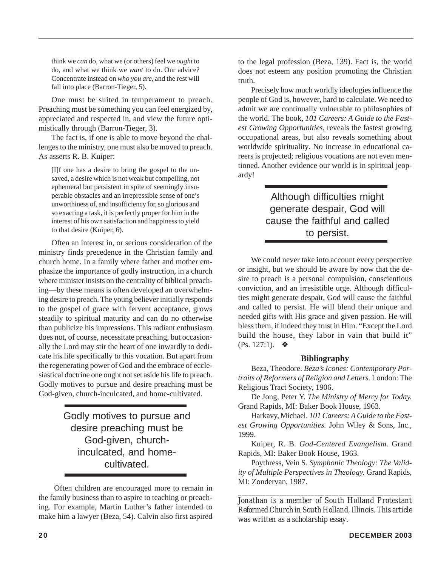think we *can* do, what we (or others) feel we *ought* to do, and what we think we *want* to do. Our advice? Concentrate instead on *who you are,* and the rest will fall into place (Barron-Tieger, 5).

One must be suited in temperament to preach. Preaching must be something you can feel energized by, appreciated and respected in, and view the future optimistically through (Barron-Tieger, 3).

The fact is, if one is able to move beyond the challenges to the ministry, one must also be moved to preach. As asserts R. B. Kuiper:

[I]f one has a desire to bring the gospel to the unsaved, a desire which is not weak but compelling, not ephemeral but persistent in spite of seemingly insuperable obstacles and an irrepressible sense of one's unworthiness of, and insufficiency for, so glorious and so exacting a task, it is perfectly proper for him in the interest of his own satisfaction and happiness to yield to that desire (Kuiper, 6).

Often an interest in, or serious consideration of the ministry finds precedence in the Christian family and church home. In a family where father and mother emphasize the importance of godly instruction, in a church where minister insists on the centrality of biblical preaching—by these means is often developed an overwhelming desire to preach. The young believer initially responds to the gospel of grace with fervent acceptance, grows steadily to spiritual maturity and can do no otherwise than publicize his impressions. This radiant enthusiasm does not, of course, necessitate preaching, but occasionally the Lord may stir the heart of one inwardly to dedicate his life specifically to this vocation. But apart from the regenerating power of God and the embrace of ecclesiastical doctrine one ought not set aside his life to preach. Godly motives to pursue and desire preaching must be God-given, church-inculcated, and home-cultivated.

> Godly motives to pursue and desire preaching must be God-given, churchinculcated, and homecultivated.

 Often children are encouraged more to remain in the family business than to aspire to teaching or preaching. For example, Martin Luther's father intended to make him a lawyer (Beza, 54). Calvin also first aspired to the legal profession (Beza, 139). Fact is, the world does not esteem any position promoting the Christian truth.

Precisely how much worldly ideologies influence the people of God is, however, hard to calculate. We need to admit we are continually vulnerable to philosophies of the world. The book, *101 Careers: A Guide to the Fastest Growing Opportunities,* reveals the fastest growing occupational areas, but also reveals something about worldwide spirituality. No increase in educational careers is projected; religious vocations are not even mentioned. Another evidence our world is in spiritual jeopardy!

### Although difficulties might generate despair, God will cause the faithful and called to persist.

We could never take into account every perspective or insight, but we should be aware by now that the desire to preach is a personal compulsion, conscientious conviction, and an irresistible urge. Although difficulties might generate despair, God will cause the faithful and called to persist. He will blend their unique and needed gifts with His grace and given passion. He will bless them, if indeed they trust in Him. "Except the Lord build the house, they labor in vain that build it" (Ps. 127:1).  $\triangleq$ 

#### **Bibliography**

Beza, Theodore. *Beza's Icones: Contemporary Portraits of Reformers of Religion and Letters.* London: The Religious Tract Society, 1906.

De Jong, Peter Y. *The Ministry of Mercy for Today.* Grand Rapids, MI: Baker Book House, 1963.

Harkavy, Michael. *101 Careers: A Guide to the Fastest Growing Opportunities.* John Wiley & Sons, Inc., 1999.

Kuiper, R. B. *God-Centered Evangelism.* Grand Rapids, MI: Baker Book House, 1963.

Poythress, Vein S. *Symphonic Theology: The Validity of Multiple Perspectives in Theology.* Grand Rapids, MI: Zondervan, 1987.

*\_\_\_\_\_\_\_\_\_\_\_\_\_\_\_\_\_\_\_\_\_\_\_\_\_\_\_\_\_\_\_\_\_\_\_\_\_\_\_\_\_\_\_\_\_\_\_\_\_\_*

*Jonathan is a member of South Holland Protestant Reformed Church in South Holland, Illinois. This article was written as a scholarship essay.*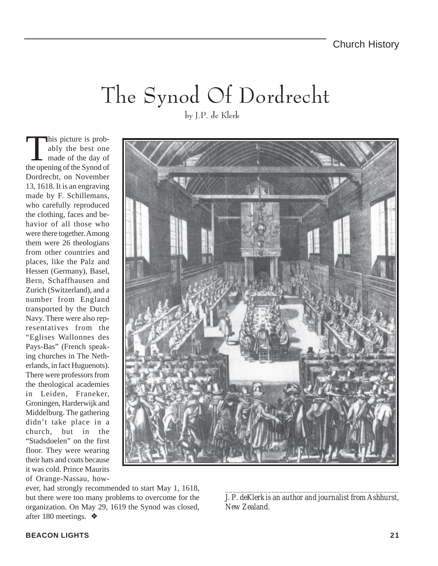## The Synod Of Dordrecht

his picture is probably the best one made of the day of the opening of the Synod of Dordrecht, on November 13, 1618. It is an engraving made by F. Schillemans, who carefully reproduced the clothing, faces and behavior of all those who were there together. Among them were 26 theologians from other countries and places, like the Palz and Hessen (Germany), Basel, Bern, Schaffhausen and Zurich (Switzerland), and a number from England transported by the Dutch Navy. There were also representatives from the "Eglises Wallonnes des Pays-Bas" (French speaking churches in The Netherlands, in fact Huguenots). There were professors from the theological academies in Leiden, Franeker, Groningen, Harderwijk and Middelburg. The gathering didn't take place in a church, but in the "Stadsdoelen" on the first floor. They were wearing their hats and coats because it was cold. Prince Maurits of Orange-Nassau, howby J.P. de Klerk



ever, had strongly recommended to start May 1, 1618, but there were too many problems to overcome for the organization. On May 29, 1619 the Synod was closed, after 180 meetings. ❖

*\_\_\_\_\_\_\_\_\_\_\_\_\_\_\_\_\_\_\_\_\_\_\_\_\_\_\_\_\_\_\_\_\_\_\_\_\_\_\_\_\_\_\_\_\_ J. P. deKlerk is an author and journalist from Ashhurst, New Zealand.*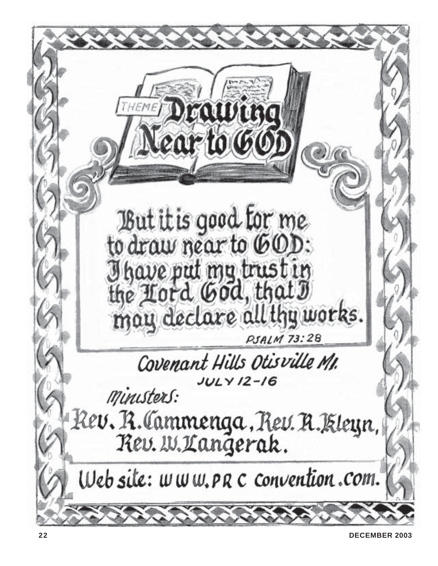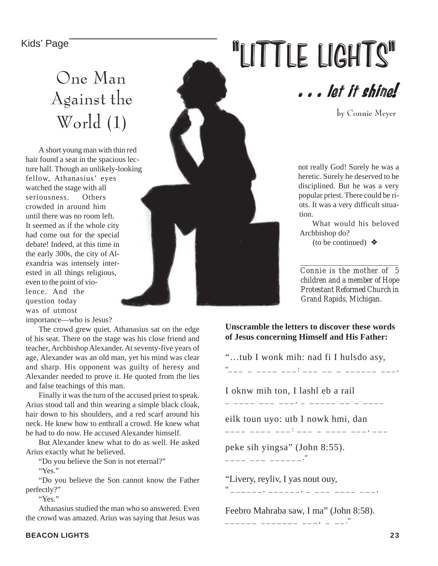### One Man Against the World (1)

A short young man with thin red hair found a seat in the spacious lecture hall. Though an unlikely-looking fellow, Athanasius' eyes watched the stage with all seriousness. Others. crowded in around him until there was no room left. It seemed as if the whole city had come out for the special debate! Indeed, at this time in the early 300s, the city of Alexandria was intensely interested in all things religious, even to the point of violence. And the question today was of utmost

importance—who is Jesus?

The crowd grew quiet. Athanasius sat on the edge of his seat. There on the stage was his close friend and teacher, Archbishop Alexander. At seventy-five years of age, Alexander was an old man, yet his mind was clear and sharp. His opponent was guilty of heresy and Alexander needed to prove it. He quoted from the lies and false teachings of this man.

Finally it was the turn of the accused priest to speak. Arius stood tall and thin wearing a simple black cloak, hair down to his shoulders, and a red scarf around his neck. He knew how to enthrall a crowd. He knew what he had to do now. He accused Alexander himself.

But Alexander knew what to do as well. He asked Arius exactly what he believed.

"Do you believe the Son is not eternal?"

"Yes."

"Do you believe the Son cannot know the Father perfectly?"

"Yes."

Athanasius studied the man who so answered. Even the crowd was amazed. Arius was saying that Jesus was

# Kids' Page **1998**



by Connie Meyer

not really God! Surely he was a heretic. Surely he deserved to be disciplined. But he was a very popular priest. There could be riots. It was a very difficult situation.

What would his beloved Archbishop do? (to be continued)  $\triangleleft$ 

*Connie is the mother of 5 children and a member of Hope Protestant Reformed Church in Grand Rapids, Michigan.*

*\_\_\_\_\_\_\_\_\_\_\_\_\_\_\_\_\_\_\_\_\_\_\_\_\_\_\_\_\_\_\_\_\_\_\_\_\_\_\_\_\_\_\_\_\_\_\_\_*

#### **Unscramble the letters to discover these words of Jesus concerning Himself and His Father:**

"…tub I wonk mih: nad fi I hulsdo asy, "\_ \_ \_ \_ \_ \_ \_ \_ \_ \_ \_ : \_ \_ \_ \_ \_ \_ \_ \_ \_ \_ \_ \_ \_ \_ \_ , I oknw mih ton, I lashl eb a rail \_ \_\_\_\_ \_\_\_ \_\_\_, \_ \_\_\_\_\_ \_\_ eilk toun uyo: utb I nowk hmi, dan \_\_\_\_ \_\_\_\_ \_\_\_: \_\_\_ \_ \_\_\_ \_ \_\_\_ \_\_\_ \_\_\_ peke sih yingsa" (John 8:55).  $--- - - - - - - - - -$ "Livery, reyliv, I yas nout ouy, " \_ \_ \_ \_ \_ \_ , \_ \_ \_ \_ \_ \_ , \_ \_ \_ \_ \_ \_ \_ \_ \_ \_ \_ , Feebro Mahraba saw, I ma" (John 8:58). \_ \_ \_ \_ \_ \_ \_ \_ \_ \_ \_ \_ \_ \_ \_ \_ , \_ \_ \_ ."